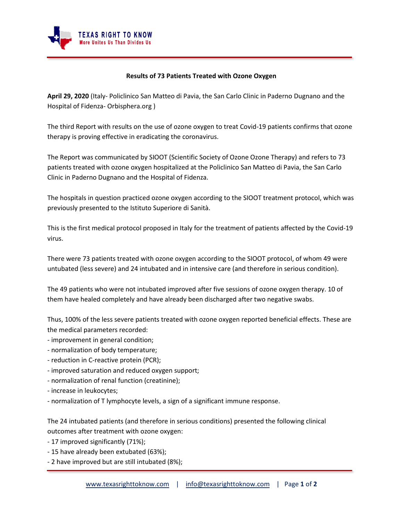

## **Results of 73 Patients Treated with Ozone Oxygen**

**April 29, 2020** (Italy- Policlinico San Matteo di Pavia, the San Carlo Clinic in Paderno Dugnano and the Hospital of Fidenza- Orbisphera.org )

The third Report with results on the use of ozone oxygen to treat Covid-19 patients confirms that ozone therapy is proving effective in eradicating the coronavirus.

The Report was communicated by SIOOT (Scientific Society of Ozone Ozone Therapy) and refers to 73 patients treated with ozone oxygen hospitalized at the Policlinico San Matteo di Pavia, the San Carlo Clinic in Paderno Dugnano and the Hospital of Fidenza.

The hospitals in question practiced ozone oxygen according to the SIOOT treatment protocol, which was previously presented to the Istituto Superiore di Sanità.

This is the first medical protocol proposed in Italy for the treatment of patients affected by the Covid-19 virus.

There were 73 patients treated with ozone oxygen according to the SIOOT protocol, of whom 49 were untubated (less severe) and 24 intubated and in intensive care (and therefore in serious condition).

The 49 patients who were not intubated improved after five sessions of ozone oxygen therapy. 10 of them have healed completely and have already been discharged after two negative swabs.

Thus, 100% of the less severe patients treated with ozone oxygen reported beneficial effects. These are the medical parameters recorded:

- improvement in general condition;
- normalization of body temperature;
- reduction in C-reactive protein (PCR);
- improved saturation and reduced oxygen support;
- normalization of renal function (creatinine);
- increase in leukocytes;
- normalization of T lymphocyte levels, a sign of a significant immune response.

The 24 intubated patients (and therefore in serious conditions) presented the following clinical outcomes after treatment with ozone oxygen:

- 17 improved significantly (71%);
- 15 have already been extubated (63%);
- 2 have improved but are still intubated (8%);